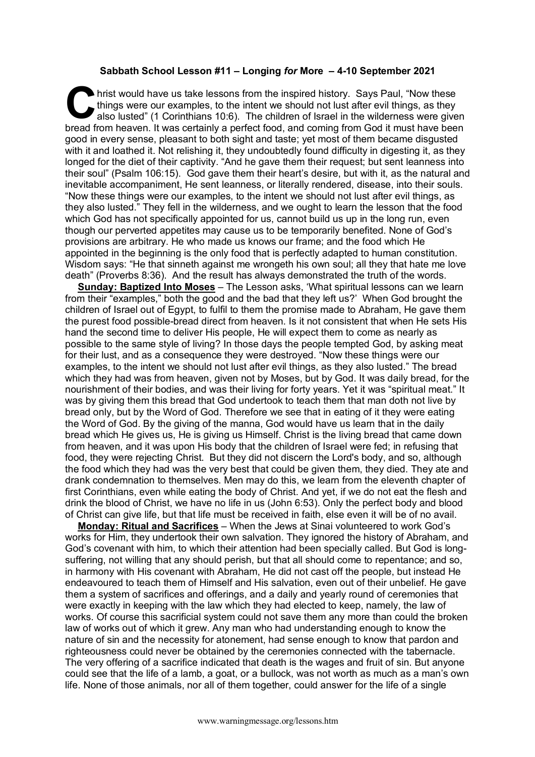## **Sabbath School Lesson #11 – Longing** *for* **More – 4-10 September 2021**

hrist would have us take lessons from the inspired history. Says Paul, "Now these things were our examples, to the intent we should not lust after evil things, as they also lusted" (1 Corinthians 10:6). The children of Israel in the wilderness were given hrist would have us take lessons from the inspired history. Says Paul, "Now these things were our examples, to the intent we should not lust after evil things, as they also lusted" (1 Corinthians 10:6). The children of Isr good in every sense, pleasant to both sight and taste; yet most of them became disgusted with it and loathed it. Not relishing it, they undoubtedly found difficulty in digesting it, as they longed for the diet of their captivity. "And he gave them their request; but sent leanness into their soul" (Psalm 106:15). God gave them their heart's desire, but with it, as the natural and inevitable accompaniment, He sent leanness, or literally rendered, disease, into their souls. "Now these things were our examples, to the intent we should not lust after evil things, as they also lusted." They fell in the wilderness, and we ought to learn the lesson that the food which God has not specifically appointed for us, cannot build us up in the long run, even though our perverted appetites may cause us to be temporarily benefited. None of God's provisions are arbitrary. He who made us knows our frame; and the food which He appointed in the beginning is the only food that is perfectly adapted to human constitution. Wisdom says: "He that sinneth against me wrongeth his own soul; all they that hate me love death" (Proverbs 8:36). And the result has always demonstrated the truth of the words.

**Sunday: Baptized Into Moses** – The Lesson asks, 'What spiritual lessons can we learn from their "examples," both the good and the bad that they left us?' When God brought the children of Israel out of Egypt, to fulfil to them the promise made to Abraham, He gave them the purest food possible-bread direct from heaven. Is it not consistent that when He sets His hand the second time to deliver His people, He will expect them to come as nearly as possible to the same style of living? In those days the people tempted God, by asking meat for their lust, and as a consequence they were destroyed. "Now these things were our examples, to the intent we should not lust after evil things, as they also lusted." The bread which they had was from heaven, given not by Moses, but by God. It was daily bread, for the nourishment of their bodies, and was their living for forty years. Yet it was "spiritual meat." It was by giving them this bread that God undertook to teach them that man doth not live by bread only, but by the Word of God. Therefore we see that in eating of it they were eating the Word of God. By the giving of the manna, God would have us learn that in the daily bread which He gives us, He is giving us Himself. Christ is the living bread that came down from heaven, and it was upon His body that the children of Israel were fed; in refusing that food, they were rejecting Christ. But they did not discern the Lord's body, and so, although the food which they had was the very best that could be given them, they died. They ate and drank condemnation to themselves. Men may do this, we learn from the eleventh chapter of first Corinthians, even while eating the body of Christ. And yet, if we do not eat the flesh and drink the blood of Christ, we have no life in us (John 6:53). Only the perfect body and blood of Christ can give life, but that life must be received in faith, else even it will be of no avail.

**Monday: Ritual and Sacrifices** – When the Jews at Sinai volunteered to work God's works for Him, they undertook their own salvation. They ignored the history of Abraham, and God's covenant with him, to which their attention had been specially called. But God is longsuffering, not willing that any should perish, but that all should come to repentance; and so, in harmony with His covenant with Abraham, He did not cast off the people, but instead He endeavoured to teach them of Himself and His salvation, even out of their unbelief. He gave them a system of sacrifices and offerings, and a daily and yearly round of ceremonies that were exactly in keeping with the law which they had elected to keep, namely, the law of works. Of course this sacrificial system could not save them any more than could the broken law of works out of which it grew. Any man who had understanding enough to know the nature of sin and the necessity for atonement, had sense enough to know that pardon and righteousness could never be obtained by the ceremonies connected with the tabernacle. The very offering of a sacrifice indicated that death is the wages and fruit of sin. But anyone could see that the life of a lamb, a goat, or a bullock, was not worth as much as a man's own life. None of those animals, nor all of them together, could answer for the life of a single